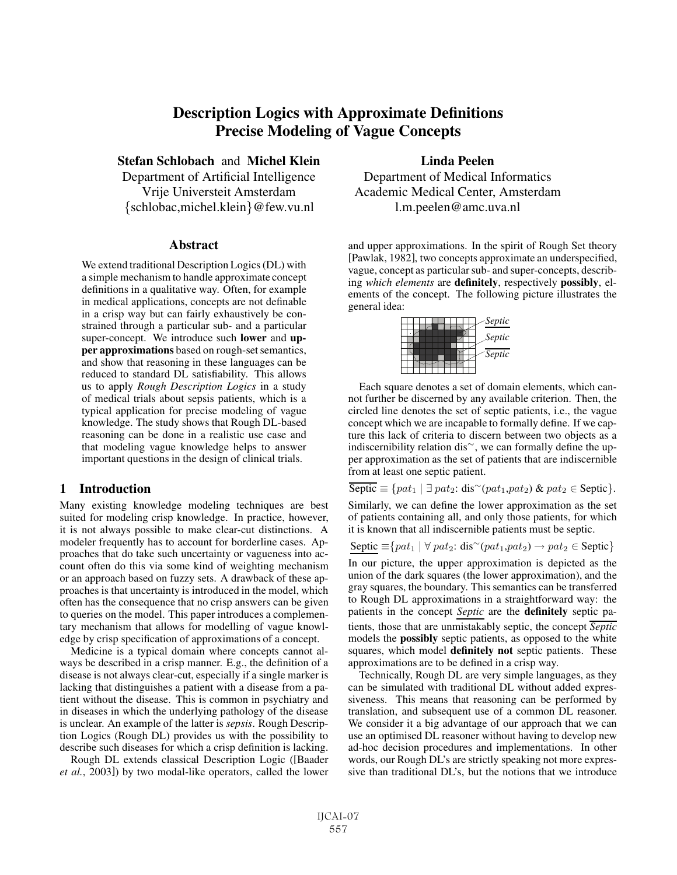# Description Logics with Approximate Definitions Precise Modeling of Vague Concepts

Stefan Schlobach and Michel Klein

Department of Artificial Intelligence Vrije Universteit Amsterdam {schlobac,michel.klein}@few.vu.nl

#### **Abstract**

We extend traditional Description Logics (DL) with a simple mechanism to handle approximate concept definitions in a qualitative way. Often, for example in medical applications, concepts are not definable in a crisp way but can fairly exhaustively be constrained through a particular sub- and a particular super-concept. We introduce such lower and upper approximations based on rough-set semantics, and show that reasoning in these languages can be reduced to standard DL satisfiability. This allows us to apply *Rough Description Logics* in a study of medical trials about sepsis patients, which is a typical application for precise modeling of vague knowledge. The study shows that Rough DL-based reasoning can be done in a realistic use case and that modeling vague knowledge helps to answer important questions in the design of clinical trials.

### 1 Introduction

Many existing knowledge modeling techniques are best suited for modeling crisp knowledge. In practice, however, it is not always possible to make clear-cut distinctions. A modeler frequently has to account for borderline cases. Approaches that do take such uncertainty or vagueness into account often do this via some kind of weighting mechanism or an approach based on fuzzy sets. A drawback of these approaches is that uncertainty is introduced in the model, which often has the consequence that no crisp answers can be given to queries on the model. This paper introduces a complementary mechanism that allows for modelling of vague knowledge by crisp specification of approximations of a concept.

Medicine is a typical domain where concepts cannot always be described in a crisp manner. E.g., the definition of a disease is not always clear-cut, especially if a single marker is lacking that distinguishes a patient with a disease from a patient without the disease. This is common in psychiatry and in diseases in which the underlying pathology of the disease is unclear. An example of the latter is *sepsis*. Rough Description Logics (Rough DL) provides us with the possibility to describe such diseases for which a crisp definition is lacking.

Rough DL extends classical Description Logic ([Baader *et al.*, 2003]) by two modal-like operators, called the lower

Linda Peelen Department of Medical Informatics Academic Medical Center, Amsterdam l.m.peelen@amc.uva.nl

and upper approximations. In the spirit of Rough Set theory [Pawlak, 1982], two concepts approximate an underspecified, vague, concept as particular sub- and super-concepts, describing *which elements* are definitely, respectively possibly, elements of the concept. The following picture illustrates the general idea:



Each square denotes a set of domain elements, which cannot further be discerned by any available criterion. Then, the circled line denotes the set of septic patients, i.e., the vague concept which we are incapable to formally define. If we capture this lack of criteria to discern between two objects as a indiscernibility relation dis<sup>∼</sup>, we can formally define the upper approximation as the set of patients that are indiscernible from at least one septic patient.

Septic  $\equiv \{pat_1 \mid \exists pat_2: dis \sim (pat_1, pat_2) \& pat_2 \in Septic \}.$ 

Similarly, we can define the lower approximation as the set of patients containing all, and only those patients, for which it is known that all indiscernible patients must be septic.

Septic  $\equiv \{pat_1 \mid \forall pat_2: dis \sim (pat_1, pat_2) \rightarrow pat_2 \in Septic\}$ 

In our picture, the upper approximation is depicted as the union of the dark squares (the lower approximation), and the gray squares, the boundary. This semantics can be transferred to Rough DL approximations in a straightforward way: the patients in the concept *Septic* are the definitely septic patients, those that are unmistakably septic, the concept *Septic* models the possibly septic patients, as opposed to the white squares, which model definitely not septic patients. These approximations are to be defined in a crisp way.

Technically, Rough DL are very simple languages, as they can be simulated with traditional DL without added expressiveness. This means that reasoning can be performed by translation, and subsequent use of a common DL reasoner. We consider it a big advantage of our approach that we can use an optimised DL reasoner without having to develop new ad-hoc decision procedures and implementations. In other words, our Rough DL's are strictly speaking not more expressive than traditional DL's, but the notions that we introduce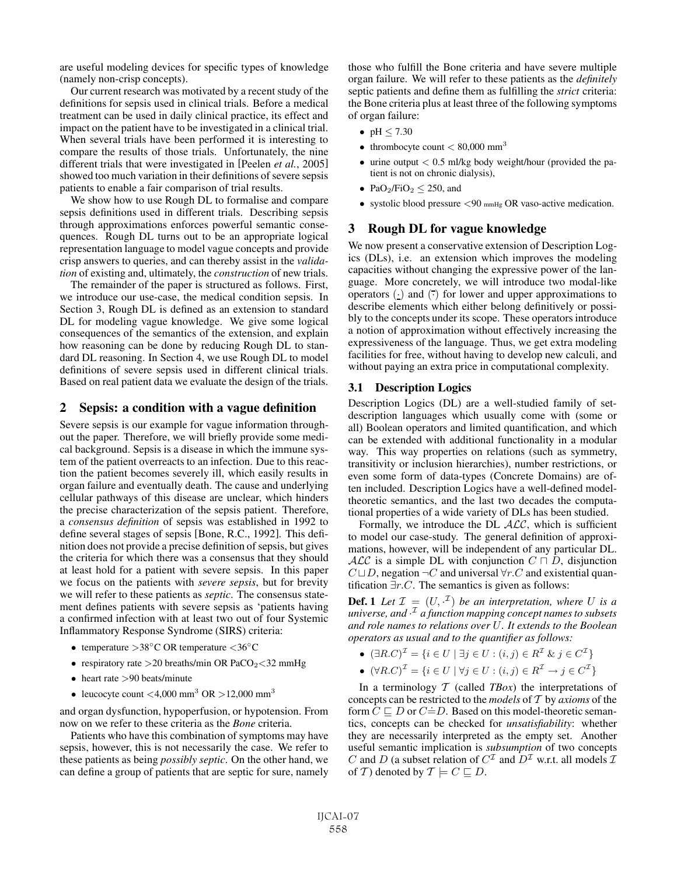are useful modeling devices for specific types of knowledge (namely non-crisp concepts).

Our current research was motivated by a recent study of the definitions for sepsis used in clinical trials. Before a medical treatment can be used in daily clinical practice, its effect and impact on the patient have to be investigated in a clinical trial. When several trials have been performed it is interesting to compare the results of those trials. Unfortunately, the nine different trials that were investigated in [Peelen *et al.*, 2005] showed too much variation in their definitions of severe sepsis patients to enable a fair comparison of trial results.

We show how to use Rough DL to formalise and compare sepsis definitions used in different trials. Describing sepsis through approximations enforces powerful semantic consequences. Rough DL turns out to be an appropriate logical representation language to model vague concepts and provide crisp answers to queries, and can thereby assist in the *validation* of existing and, ultimately, the *construction* of new trials.

The remainder of the paper is structured as follows. First, we introduce our use-case, the medical condition sepsis. In Section 3, Rough DL is defined as an extension to standard DL for modeling vague knowledge. We give some logical consequences of the semantics of the extension, and explain how reasoning can be done by reducing Rough DL to standard DL reasoning. In Section 4, we use Rough DL to model definitions of severe sepsis used in different clinical trials. Based on real patient data we evaluate the design of the trials.

### 2 Sepsis: a condition with a vague definition

Severe sepsis is our example for vague information throughout the paper. Therefore, we will briefly provide some medical background. Sepsis is a disease in which the immune system of the patient overreacts to an infection. Due to this reaction the patient becomes severely ill, which easily results in organ failure and eventually death. The cause and underlying cellular pathways of this disease are unclear, which hinders the precise characterization of the sepsis patient. Therefore, a *consensus definition* of sepsis was established in 1992 to define several stages of sepsis [Bone, R.C., 1992]. This definition does not provide a precise definition of sepsis, but gives the criteria for which there was a consensus that they should at least hold for a patient with severe sepsis. In this paper we focus on the patients with *severe sepsis*, but for brevity we will refer to these patients as *septic*. The consensus statement defines patients with severe sepsis as 'patients having a confirmed infection with at least two out of four Systemic Inflammatory Response Syndrome (SIRS) criteria:

- temperature >38◦C OR temperature <36◦C
- respiratory rate > 20 breaths/min OR PaCO<sub>2</sub> < 32 mmHg
- heart rate >90 beats/minute
- leucocyte count  $\langle 4,000 \text{ mm}^3 \text{ OR } \rangle 12,000 \text{ mm}^3$

and organ dysfunction, hypoperfusion, or hypotension. From now on we refer to these criteria as the *Bone* criteria.

Patients who have this combination of symptoms may have sepsis, however, this is not necessarily the case. We refer to these patients as being *possibly septic*. On the other hand, we can define a group of patients that are septic for sure, namely those who fulfill the Bone criteria and have severe multiple organ failure. We will refer to these patients as the *definitely* septic patients and define them as fulfilling the *strict* criteria: the Bone criteria plus at least three of the following symptoms of organ failure:

- pH  $\leq 7.30$
- thrombocyte count  $< 80,000$  mm<sup>3</sup>
- $\bullet$  urine output  $< 0.5$  ml/kg body weight/hour (provided the patient is not on chronic dialysis),
- PaO<sub>2</sub>/FiO<sub>2</sub>  $\leq$  250, and
- systolic blood pressure  $\langle 90 \text{ mmHg} \text{ OR } v \rangle$  vaso-active medication.

## 3 Rough DL for vague knowledge

We now present a conservative extension of Description Logics (DLs), i.e. an extension which improves the modeling capacities without changing the expressive power of the language. More concretely, we will introduce two modal-like operators  $(\cdot)$  and  $(\overline{\cdot})$  for lower and upper approximations to describe elements which either belong definitively or possibly to the concepts under its scope. These operators introduce a notion of approximation without effectively increasing the expressiveness of the language. Thus, we get extra modeling facilities for free, without having to develop new calculi, and without paying an extra price in computational complexity.

## 3.1 Description Logics

Description Logics (DL) are a well-studied family of setdescription languages which usually come with (some or all) Boolean operators and limited quantification, and which can be extended with additional functionality in a modular way. This way properties on relations (such as symmetry, transitivity or inclusion hierarchies), number restrictions, or even some form of data-types (Concrete Domains) are often included. Description Logics have a well-defined modeltheoretic semantics, and the last two decades the computational properties of a wide variety of DLs has been studied.

Formally, we introduce the DL  $ALC$ , which is sufficient to model our case-study. The general definition of approximations, however, will be independent of any particular DL. ALC is a simple DL with conjunction  $C \sqcap D$ , disjunction  $C \sqcup D$ , negation  $\neg C$  and universal  $\forall r.C$  and existential quantification  $\exists r.C$ . The semantics is given as follows:

**Def.** 1 Let  $\mathcal{I} = (U, \cdot^{\mathcal{I}})$  be an interpretation, where U is a *universe, and* · <sup>I</sup> *a function mapping concept names to subsets and role names to relations over* U*. It extends to the Boolean operators as usual and to the quantifier as follows:*

- $(\exists R.C)^{\mathcal{I}} = \{i \in U \mid \exists j \in U : (i, j) \in R^{\mathcal{I}} \& j \in C^{\mathcal{I}}\}$
- $(\forall R.C)^{\mathcal{I}} = \{i \in U \mid \forall j \in U : (i, j) \in R^{\mathcal{I}} \rightarrow j \in C^{\mathcal{I}}\}\$

In a terminology  $T$  (called *TBox*) the interpretations of concepts can be restricted to the *models* of T by *axioms* of the form  $C \sqsubseteq D$  or  $C \doteq D$ . Based on this model-theoretic semantics, concepts can be checked for *unsatisfiability*: whether they are necessarily interpreted as the empty set. Another useful semantic implication is *subsumption* of two concepts C and D (a subset relation of  $C^{\mathcal{I}}$  and  $D^{\mathcal{I}}$  w.r.t. all models  $\mathcal{I}$ of T) denoted by  $T \models C \sqsubseteq D$ .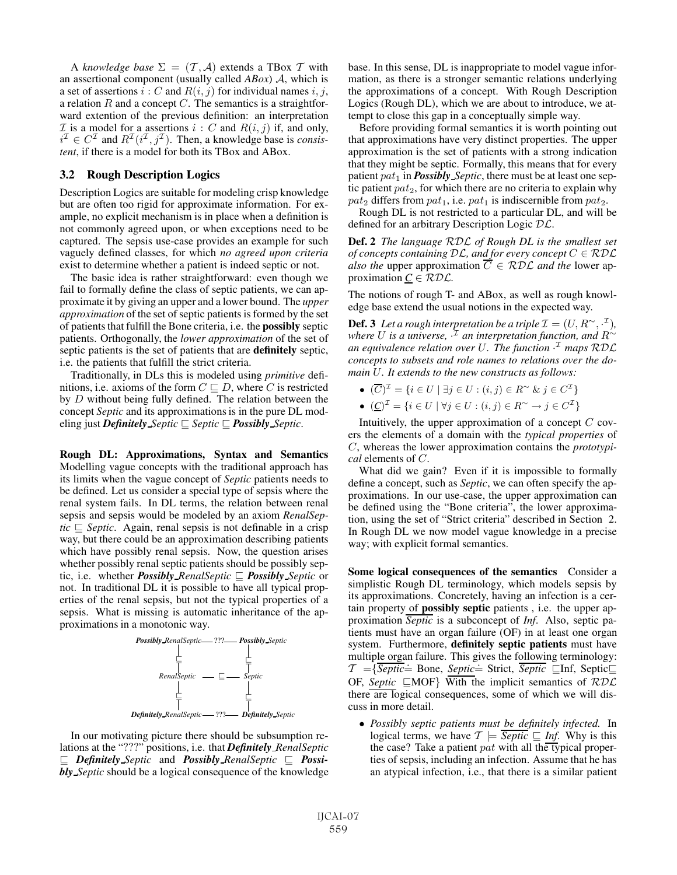A *knowledge base*  $\Sigma = (T, \mathcal{A})$  extends a TBox T with an assertional component (usually called *ABox*) A, which is a set of assertions  $i : C$  and  $R(i, j)$  for individual names  $i, j$ , a relation  $R$  and a concept  $C$ . The semantics is a straightforward extention of the previous definition: an interpretation  $\mathcal I$  is a model for a assertions  $i : C$  and  $R(i, j)$  if, and only,  $i^{\mathcal{I}} \in C^{\mathcal{I}}$  and  $R^{\mathcal{I}}(i^{\mathcal{I}}, j^{\mathcal{I}})$ . Then, a knowledge base is *consistent*, if there is a model for both its TBox and ABox.

## 3.2 Rough Description Logics

Description Logics are suitable for modeling crisp knowledge but are often too rigid for approximate information. For example, no explicit mechanism is in place when a definition is not commonly agreed upon, or when exceptions need to be captured. The sepsis use-case provides an example for such vaguely defined classes, for which *no agreed upon criteria* exist to determine whether a patient is indeed septic or not.

The basic idea is rather straightforward: even though we fail to formally define the class of septic patients, we can approximate it by giving an upper and a lower bound. The *upper approximation* of the set of septic patients is formed by the set of patients that fulfill the Bone criteria, i.e. the possibly septic patients. Orthogonally, the *lower approximation* of the set of septic patients is the set of patients that are definitely septic, i.e. the patients that fulfill the strict criteria.

Traditionally, in DLs this is modeled using *primitive* definitions, i.e. axioms of the form  $C \sqsubseteq D$ , where C is restricted by D without being fully defined. The relation between the concept *Septic* and its approximations is in the pure DL modeling just *Definitely Septic*  $\subseteq$  *Septic*  $\subseteq$  *Possibly Septic.* 

Rough DL: Approximations, Syntax and Semantics Modelling vague concepts with the traditional approach has its limits when the vague concept of *Septic* patients needs to be defined. Let us consider a special type of sepsis where the renal system fails. In DL terms, the relation between renal sepsis and sepsis would be modeled by an axiom *RenalSep* $tic \nightharpoonup$  *Septic*. Again, renal sepsis is not definable in a crisp way, but there could be an approximation describing patients which have possibly renal sepsis. Now, the question arises whether possibly renal septic patients should be possibly septic, i.e. whether **Possibly** RenalSeptic  $\subseteq$  **Possibly** Septic or not. In traditional DL it is possible to have all typical properties of the renal sepsis, but not the typical properties of a sepsis. What is missing is automatic inheritance of the approximations in a monotonic way.



In our motivating picture there should be subsumption relations at the "???" positions, i.e. that *Definitely RenalSeptic*  $\subseteq$  *Definitely Septic* and *Possibly RenalSeptic*  $\subseteq$  *Possibly Septic* should be a logical consequence of the knowledge base. In this sense, DL is inappropriate to model vague information, as there is a stronger semantic relations underlying the approximations of a concept. With Rough Description Logics (Rough DL), which we are about to introduce, we attempt to close this gap in a conceptually simple way.

Before providing formal semantics it is worth pointing out that approximations have very distinct properties. The upper approximation is the set of patients with a strong indication that they might be septic. Formally, this means that for every patient pat<sub>1</sub> in *Possibly Septic*, there must be at least one septic patient  $pat_2$ , for which there are no criteria to explain why  $pat_2$  differs from  $pat_1$ , i.e.  $pat_1$  is indiscernible from  $pat_2$ .

Rough DL is not restricted to a particular DL, and will be defined for an arbitrary Description Logic DL.

Def. 2 *The language* RDL *of Rough DL is the smallest set of concepts containing*  $D\mathcal{L}$ *, and for every concept*  $C \in \mathcal{R}$  $D\mathcal{L}$ *also the* upper approximation  $\overline{C} \in \mathcal{RDL}$  *and the* lower approximation  $C \in \mathcal{RDL}$ .

The notions of rough T- and ABox, as well as rough knowledge base extend the usual notions in the expected way.

**Def. 3** Let a rough interpretation be a triple  $\mathcal{I} = (U, R^{\sim}, \cdot^{\mathcal{I}})$ , *where* U *is a universe,* · <sup>I</sup> *an interpretation function, and* R<sup>∼</sup> *an equivalence relation over* U*. The function* · <sup>I</sup> *maps* RDL *concepts to subsets and role names to relations over the domain* U*. It extends to the new constructs as follows:*

- $(\overline{C})^{\mathcal{I}} = \{i \in U \mid \exists j \in U : (i, j) \in R^{\sim} \& j \in C^{\mathcal{I}}\}\$
- $(\underline{C})^{\mathcal{I}} = \{i \in U \mid \forall j \in U : (i, j) \in R^{\sim} \rightarrow j \in C^{\mathcal{I}}\}\$

Intuitively, the upper approximation of a concept  $C$  covers the elements of a domain with the *typical properties* of C, whereas the lower approximation contains the *prototypical* elements of C.

What did we gain? Even if it is impossible to formally define a concept, such as *Septic*, we can often specify the approximations. In our use-case, the upper approximation can be defined using the "Bone criteria", the lower approximation, using the set of "Strict criteria" described in Section 2. In Rough DL we now model vague knowledge in a precise way; with explicit formal semantics.

Some logical consequences of the semantics Consider a simplistic Rough DL terminology, which models sepsis by its approximations. Concretely, having an infection is a certain property of possibly septic patients , i.e. the upper approximation *Septic* is a subconcept of *Inf*. Also, septic patients must have an organ failure (OF) in at least one organ system. Furthermore, definitely septic patients must have multiple organ failure. This gives the following terminology:  $\mathcal{T} = \{ \overline{Septic} = \text{Bone}, \overline{ Septic} = \text{Strict}, \overline{Septic} \subseteq \text{Inf}, \overline{Septic} \subseteq \}$ OF, *Septic*  $\Box$ MOF} With the implicit semantics of  $RDL$ there are logical consequences, some of which we will discuss in more detail.

• *Possibly septic patients must be definitely infected.* In logical terms, we have  $\mathcal{T} \models \overline{Septic} \sqsubseteq \textit{Inf}.$  Why is this the case? Take a patient  $pat$  with all the typical properties of sepsis, including an infection. Assume that he has an atypical infection, i.e., that there is a similar patient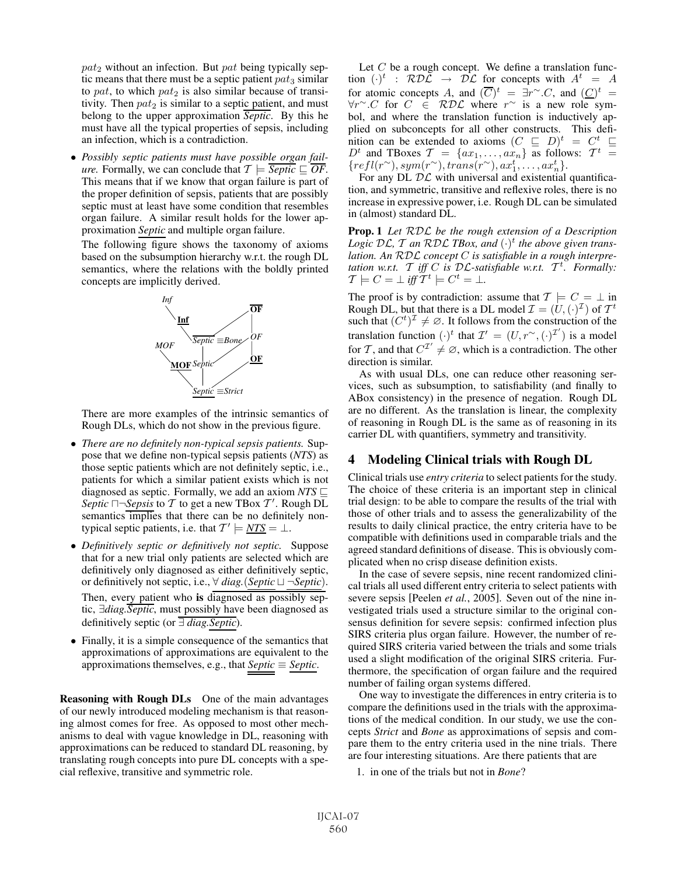$pat_2$  without an infection. But pat being typically septic means that there must be a septic patient  $pat_3$  similar to pat, to which  $pat_2$  is also similar because of transitivity. Then  $pat_2$  is similar to a septic patient, and must belong to the upper approximation *Septic*. By this he must have all the typical properties of sepsis, including an infection, which is a contradiction.

• *Possibly septic patients must have possible organ failure.* Formally, we can conclude that  $\mathcal{T} \models \overline{Septic} \sqsubseteq \overline{OF}.$ This means that if we know that organ failure is part of the proper definition of sepsis, patients that are possibly septic must at least have some condition that resembles organ failure. A similar result holds for the lower approximation *Septic* and multiple organ failure.

The following figure shows the taxonomy of axioms based on the subsumption hierarchy w.r.t. the rough DL semantics, where the relations with the boldly printed concepts are implicitly derived.



There are more examples of the intrinsic semantics of Rough DLs, which do not show in the previous figure.

- *There are no definitely non-typical sepsis patients.* Suppose that we define non-typical sepsis patients (*NTS*) as those septic patients which are not definitely septic, i.e., patients for which a similar patient exists which is not diagnosed as septic. Formally, we add an axiom  $NTS \subseteq$ Septic  $\Box$  *Sepsis* to T to get a new TBox T'. Rough DL semantics implies that there can be no definitely nontypical septic patients, i.e. that  $T' \models \underline{NTS} = \bot$ .
- *Definitively septic or definitively not septic.* Suppose that for a new trial only patients are selected which are definitively only diagnosed as either definitively septic, or definitively not septic, i.e.,  $\forall$  *diag.*(*Septic*) – *Septic*). Then, every patient who is diagnosed as possibly septic, ∃*diag.Septic*, must possibly have been diagnosed as definitively septic (or ∃ *diag.Septic*).
- Finally, it is a simple consequence of the semantics that approximations of approximations are equivalent to the approximations themselves, e.g., that  $Septic \equiv Septic$ .

Reasoning with Rough DLs One of the main advantages of our newly introduced modeling mechanism is that reasoning almost comes for free. As opposed to most other mechanisms to deal with vague knowledge in DL, reasoning with approximations can be reduced to standard DL reasoning, by translating rough concepts into pure DL concepts with a special reflexive, transitive and symmetric role.

Let  $C$  be a rough concept. We define a translation function  $(\cdot)^t$  :  $R\mathcal{D}\mathcal{L} \rightarrow \mathcal{D}\mathcal{L}$  for concepts with  $A^t = A$ for atomic concepts A, and  $(\overline{C})^t = \exists r^{\sim}.C$ , and  $(\underline{C})^t =$  $\forall r$ <sup>∼</sup>.C for  $C \in RDL$  where  $r$ <sup>∼</sup> is a new role symbol, and where the translation function is inductively applied on subconcepts for all other constructs. This definition can be extended to axioms  $(C \subseteq D)^t = C^t \subseteq$  $D<sup>t</sup>$  and TBoxes  $\mathcal{T} = \{ax_1, \ldots, ax_n\}$  as follows:  $\mathcal{T}^t =$  ${refl}(r^{\sim}), sym(r^{\sim}), trans(r^{\sim}), ax_1^t, \ldots, ax_n^t\}.$ 

For any DL  $\mathcal{DL}$  with universal and existential quantification, and symmetric, transitive and reflexive roles, there is no increase in expressive power, i.e. Rough DL can be simulated in (almost) standard DL.

Prop. 1 *Let* RDL *be the rough extension of a Description* Logic  $\mathcal{DL}$ ,  $\mathcal T$  an RDL *TBox, and*  $(\cdot)^t$  *the above given translation. An* RDL *concept* C *is satisfiable in a rough interpretation w.r.t.*  $\mathcal{T}$  *iff*  $C$  *is*  $\mathcal{DL}$ -satisfiable w.r.t.  $\mathcal{T}^t$ . Formally:  $\mathcal{T} \models C = \bot \text{ iff } \mathcal{T}^t \models C^t = \bot.$ 

The proof is by contradiction: assume that  $\mathcal{T} \models C = \bot$  in Rough DL, but that there is a DL model  $\mathcal{I} = (U, (\cdot)^{\mathcal{I}})$  of  $\mathcal{T}^t$ such that  $(C^t)^{\mathcal{I}} \neq \emptyset$ . It follows from the construction of the translation function  $(\cdot)^t$  that  $\mathcal{I}' = (U, r^{\sim}, (\cdot)^{\mathcal{I}'})$  is a model for T, and that  $C^{T'} \neq \emptyset$ , which is a contradiction. The other direction is similar.

As with usual DLs, one can reduce other reasoning services, such as subsumption, to satisfiability (and finally to ABox consistency) in the presence of negation. Rough DL are no different. As the translation is linear, the complexity of reasoning in Rough DL is the same as of reasoning in its carrier DL with quantifiers, symmetry and transitivity.

### 4 Modeling Clinical trials with Rough DL

Clinical trials use *entry criteria* to select patients for the study. The choice of these criteria is an important step in clinical trial design: to be able to compare the results of the trial with those of other trials and to assess the generalizability of the results to daily clinical practice, the entry criteria have to be compatible with definitions used in comparable trials and the agreed standard definitions of disease. This is obviously complicated when no crisp disease definition exists.

In the case of severe sepsis, nine recent randomized clinical trials all used different entry criteria to select patients with severe sepsis [Peelen *et al.*, 2005]. Seven out of the nine investigated trials used a structure similar to the original consensus definition for severe sepsis: confirmed infection plus SIRS criteria plus organ failure. However, the number of required SIRS criteria varied between the trials and some trials used a slight modification of the original SIRS criteria. Furthermore, the specification of organ failure and the required number of failing organ systems differed.

One way to investigate the differences in entry criteria is to compare the definitions used in the trials with the approximations of the medical condition. In our study, we use the concepts *Strict* and *Bone* as approximations of sepsis and compare them to the entry criteria used in the nine trials. There are four interesting situations. Are there patients that are

1. in one of the trials but not in *Bone*?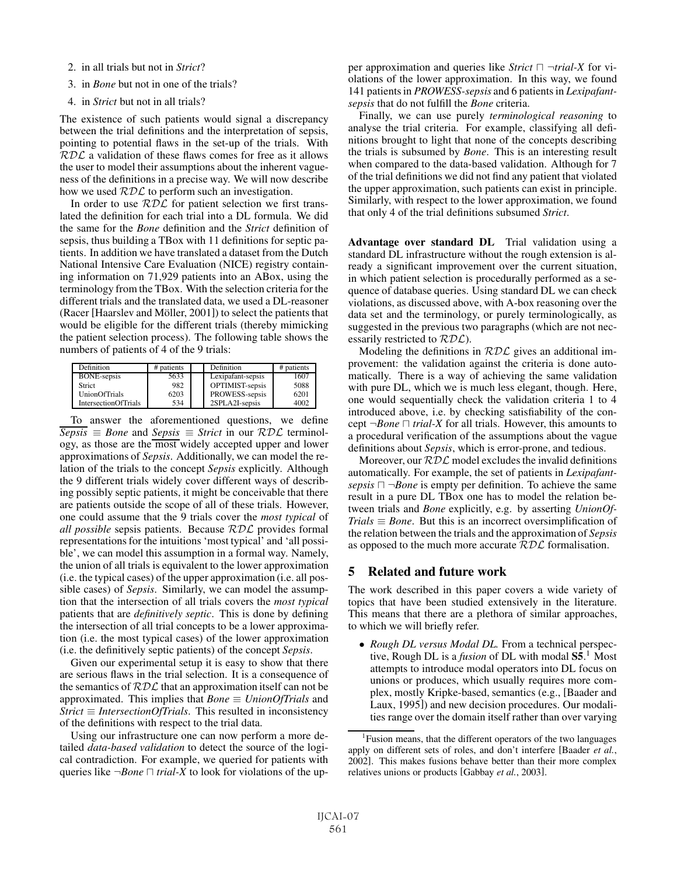- 2. in all trials but not in *Strict*?
- 3. in *Bone* but not in one of the trials?
- 4. in *Strict* but not in all trials?

The existence of such patients would signal a discrepancy between the trial definitions and the interpretation of sepsis, pointing to potential flaws in the set-up of the trials. With  $RDL$  a validation of these flaws comes for free as it allows the user to model their assumptions about the inherent vagueness of the definitions in a precise way. We will now describe how we used  $RDL$  to perform such an investigation.

In order to use  $RDL$  for patient selection we first translated the definition for each trial into a DL formula. We did the same for the *Bone* definition and the *Strict* definition of sepsis, thus building a TBox with 11 definitions for septic patients. In addition we have translated a dataset from the Dutch National Intensive Care Evaluation (NICE) registry containing information on 71,929 patients into an ABox, using the terminology from the TBox. With the selection criteria for the different trials and the translated data, we used a DL-reasoner  $(Racer [Haarslev and Möller, 2001])$  to select the patients that would be eligible for the different trials (thereby mimicking the patient selection process). The following table shows the numbers of patients of 4 of the 9 trials:

| Definition                  | # patients | Definition        | # patients |
|-----------------------------|------------|-------------------|------------|
| <b>BONE-sepsis</b>          | 5633       | Lexipafant-sepsis | 1607       |
| <b>Strict</b>               | 982        | OPTIMIST-sepsis   | 5088       |
| UnionOfTrials               | 6203       | PROWESS-sepsis    | 6201       |
| <b>IntersectionOfTrials</b> | 534        | 2SPLA2I-sepsis    | 4002       |

To answer the aforementioned questions, we define  $\overline{Sepsis} \equiv Bone$  and  $Sepsis \equiv Strict$  in our  $RDL$  terminology, as those are the most widely accepted upper and lower approximations of *Sepsis*. Additionally, we can model the relation of the trials to the concept *Sepsis* explicitly. Although the 9 different trials widely cover different ways of describing possibly septic patients, it might be conceivable that there are patients outside the scope of all of these trials. However, one could assume that the 9 trials cover the *most typical* of *all possible* sepsis patients. Because RDL provides formal representations for the intuitions 'most typical' and 'all possible', we can model this assumption in a formal way. Namely, the union of all trials is equivalent to the lower approximation (i.e. the typical cases) of the upper approximation (i.e. all possible cases) of *Sepsis*. Similarly, we can model the assumption that the intersection of all trials covers the *most typical* patients that are *definitively septic*. This is done by defining the intersection of all trial concepts to be a lower approximation (i.e. the most typical cases) of the lower approximation (i.e. the definitively septic patients) of the concept *Sepsis*.

Given our experimental setup it is easy to show that there are serious flaws in the trial selection. It is a consequence of the semantics of  $RDL$  that an approximation itself can not be approximated. This implies that *Bone* ≡ *UnionOfTrials* and *Strict* ≡ *IntersectionOfTrials*. This resulted in inconsistency of the definitions with respect to the trial data.

Using our infrastructure one can now perform a more detailed *data-based validation* to detect the source of the logical contradiction. For example, we queried for patients with queries like  $\neg Bone \sqcap trial-X$  to look for violations of the upper approximation and queries like *Strict*  $\Box$   $\neg trial-X$  for violations of the lower approximation. In this way, we found 141 patients in *PROWESS-sepsis* and 6 patients in *Lexipafantsepsis* that do not fulfill the *Bone* criteria.

Finally, we can use purely *terminological reasoning* to analyse the trial criteria. For example, classifying all definitions brought to light that none of the concepts describing the trials is subsumed by *Bone*. This is an interesting result when compared to the data-based validation. Although for 7 of the trial definitions we did not find any patient that violated the upper approximation, such patients can exist in principle. Similarly, with respect to the lower approximation, we found that only 4 of the trial definitions subsumed *Strict*.

Advantage over standard DL Trial validation using a standard DL infrastructure without the rough extension is already a significant improvement over the current situation, in which patient selection is procedurally performed as a sequence of database queries. Using standard DL we can check violations, as discussed above, with A-box reasoning over the data set and the terminology, or purely terminologically, as suggested in the previous two paragraphs (which are not necessarily restricted to  $RDL$ ).

Modeling the definitions in  $RDL$  gives an additional improvement: the validation against the criteria is done automatically. There is a way of achieving the same validation with pure DL, which we is much less elegant, though. Here, one would sequentially check the validation criteria 1 to 4 introduced above, i.e. by checking satisfiability of the concept  $\neg Bone \sqcap trial-X$  for all trials. However, this amounts to a procedural verification of the assumptions about the vague definitions about *Sepsis*, which is error-prone, and tedious.

Moreover, our  $RDL$  model excludes the invalid definitions automatically. For example, the set of patients in *Lexipafantsepsis*  $\Box \neg \textit{Bone}$  is empty per definition. To achieve the same result in a pure DL TBox one has to model the relation between trials and *Bone* explicitly, e.g. by asserting *UnionOf-Trials*  $\equiv$  *Bone*. But this is an incorrect oversimplification of the relation between the trials and the approximation of *Sepsis* as opposed to the much more accurate RDL formalisation.

# 5 Related and future work

The work described in this paper covers a wide variety of topics that have been studied extensively in the literature. This means that there are a plethora of similar approaches, to which we will briefly refer.

• *Rough DL versus Modal DL.* From a technical perspective, Rough DL is a *fusion* of DL with modal  $S\bar{5}$ .<sup>1</sup> Most attempts to introduce modal operators into DL focus on unions or produces, which usually requires more complex, mostly Kripke-based, semantics (e.g., [Baader and Laux, 1995]) and new decision procedures. Our modalities range over the domain itself rather than over varying

<sup>&</sup>lt;sup>1</sup> Fusion means, that the different operators of the two languages apply on different sets of roles, and don't interfere [Baader *et al.*, 2002]. This makes fusions behave better than their more complex relatives unions or products [Gabbay *et al.*, 2003].